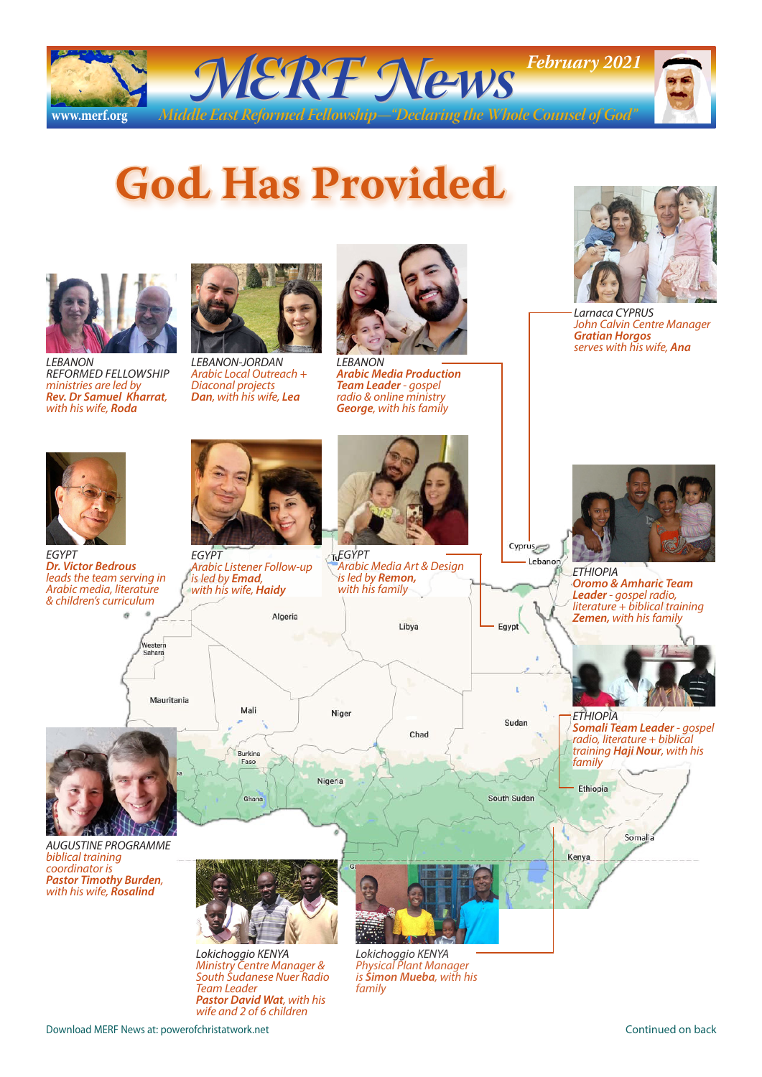

## **God Has Provided**



*LEBANON REFORMED FELLOWSHIP ministries are led by Rev. Dr Samuel Kharrat, with his wife, Roda*



*LEBANON-JORDAN Arabic Local Outreach + Diaconal projects Dan, with his wife, Lea*



*LEBANON Arabic Media Production Team Leader - gospel radio & online ministry George, with his family*

*Arabic Media Art & Design* 

Libya

Chad

*is led by Remon, with his family*

*EGYPT*

Niger



*Larnaca CYPRUS John Calvin Centre Manager Gratian Horgos serves with his wife, Ana*



*EGYPT Dr. Victor Bedrous leads the team serving in Arabic media, literature & children's curriculum*



*EGYPT Arabic Listener Follow-up is led by Emad, with his wife, Haidy* Algeria

Mali





*AUGUSTINE PROGRAMME biblical training coordinator is Pastor Timothy Burden, with his wife, Rosalind*



*Lokichoggio KENYA Ministry Centre Manager & South Sudanese Nuer Radio Team Leader Pastor David Wat, with his wife and 2 of 6 children*



*ETHIOPIA Oromo & Amharic Team Leader - gospel radio, literature + biblical training Zemen, with his family*

*ETHIOPIA Somali Team Leader - gospel radio, literature + biblical training Haji Nour, with his family*

South Sudan

Cyprus

Egypt

Sudan



Ethiopia

*Lokichoggio KENYA Physical Plant Manager is Simon Mueba, with his family*